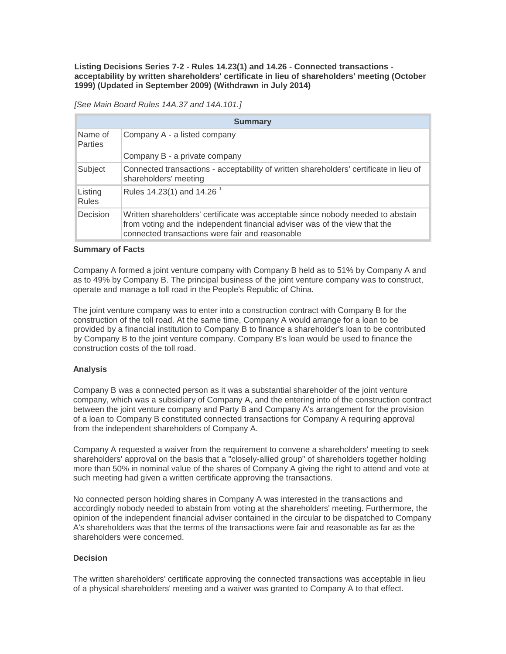**Listing Decisions Series 7-2 - Rules 14.23(1) and 14.26 - Connected transactions acceptability by written shareholders' certificate in lieu of shareholders' meeting (October 1999) (Updated in September 2009) (Withdrawn in July 2014)**

*[See Main Board Rules 14A.37 and 14A.101.]*

| <b>Summary</b>            |                                                                                                                                                                                                                  |
|---------------------------|------------------------------------------------------------------------------------------------------------------------------------------------------------------------------------------------------------------|
| Name of<br><b>Parties</b> | Company A - a listed company                                                                                                                                                                                     |
|                           | Company B - a private company                                                                                                                                                                                    |
| Subject                   | Connected transactions - acceptability of written shareholders' certificate in lieu of<br>shareholders' meeting                                                                                                  |
| Listing<br><b>Rules</b>   | Rules 14.23(1) and 14.26 <sup>1</sup>                                                                                                                                                                            |
| Decision                  | Written shareholders' certificate was acceptable since nobody needed to abstain<br>from voting and the independent financial adviser was of the view that the<br>connected transactions were fair and reasonable |

## **Summary of Facts**

Company A formed a joint venture company with Company B held as to 51% by Company A and as to 49% by Company B. The principal business of the joint venture company was to construct, operate and manage a toll road in the People's Republic of China.

The joint venture company was to enter into a construction contract with Company B for the construction of the toll road. At the same time, Company A would arrange for a loan to be provided by a financial institution to Company B to finance a shareholder's loan to be contributed by Company B to the joint venture company. Company B's loan would be used to finance the construction costs of the toll road.

## **Analysis**

Company B was a connected person as it was a substantial shareholder of the joint venture company, which was a subsidiary of Company A, and the entering into of the construction contract between the joint venture company and Party B and Company A's arrangement for the provision of a loan to Company B constituted connected transactions for Company A requiring approval from the independent shareholders of Company A.

Company A requested a waiver from the requirement to convene a shareholders' meeting to seek shareholders' approval on the basis that a "closely-allied group" of shareholders together holding more than 50% in nominal value of the shares of Company A giving the right to attend and vote at such meeting had given a written certificate approving the transactions.

No connected person holding shares in Company A was interested in the transactions and accordingly nobody needed to abstain from voting at the shareholders' meeting. Furthermore, the opinion of the independent financial adviser contained in the circular to be dispatched to Company A's shareholders was that the terms of the transactions were fair and reasonable as far as the shareholders were concerned.

## **Decision**

The written shareholders' certificate approving the connected transactions was acceptable in lieu of a physical shareholders' meeting and a waiver was granted to Company A to that effect.